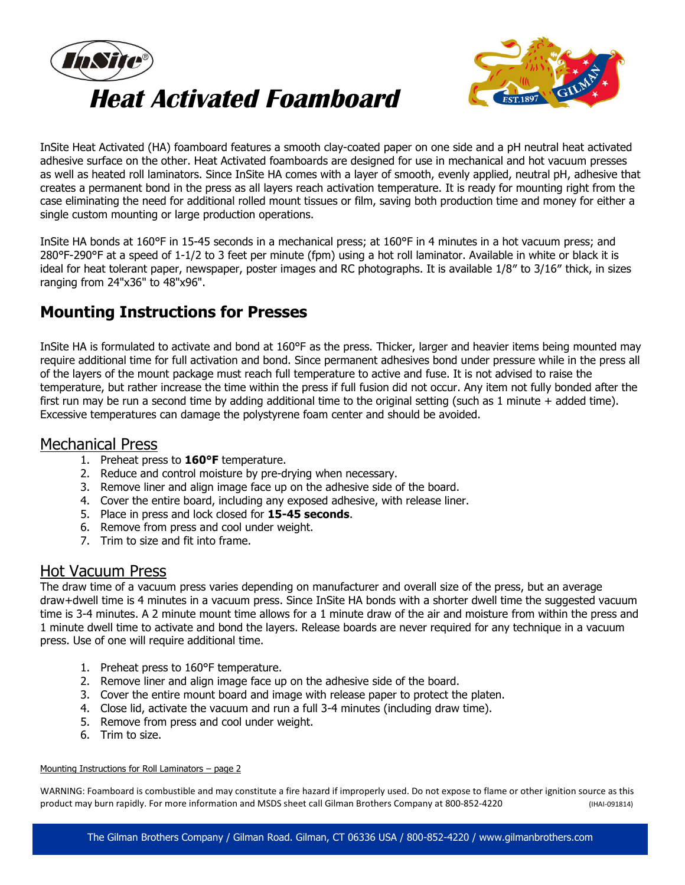



InSite Heat Activated (HA) foamboard features a smooth clay-coated paper on one side and a pH neutral heat activated adhesive surface on the other. Heat Activated foamboards are designed for use in mechanical and hot vacuum presses as well as heated roll laminators. Since InSite HA comes with a layer of smooth, evenly applied, neutral pH, adhesive that creates a permanent bond in the press as all layers reach activation temperature. It is ready for mounting right from the case eliminating the need for additional rolled mount tissues or film, saving both production time and money for either a single custom mounting or large production operations.

InSite HA bonds at 160°F in 15-45 seconds in a mechanical press; at 160°F in 4 minutes in a hot vacuum press; and 280°F-290°F at a speed of 1-1/2 to 3 feet per minute (fpm) using a hot roll laminator. Available in white or black it is ideal for heat tolerant paper, newspaper, poster images and RC photographs. It is available 1/8″ to 3/16″ thick, in sizes ranging from 24"x36" to 48"x96".

# **Mounting Instructions for Presses**

InSite HA is formulated to activate and bond at 160°F as the press. Thicker, larger and heavier items being mounted may require additional time for full activation and bond. Since permanent adhesives bond under pressure while in the press all of the layers of the mount package must reach full temperature to active and fuse. It is not advised to raise the temperature, but rather increase the time within the press if full fusion did not occur. Any item not fully bonded after the first run may be run a second time by adding additional time to the original setting (such as 1 minute + added time). Excessive temperatures can damage the polystyrene foam center and should be avoided.

### Mechanical Press

- 1. Preheat press to **160°F** temperature.
- 2. Reduce and control moisture by pre-drying when necessary.
- 3. Remove liner and align image face up on the adhesive side of the board.
- 4. Cover the entire board, including any exposed adhesive, with release liner.
- 5. Place in press and lock closed for **15-45 seconds**.
- 6. Remove from press and cool under weight.
- 7. Trim to size and fit into frame.

### Hot Vacuum Press

The draw time of a vacuum press varies depending on manufacturer and overall size of the press, but an average draw+dwell time is 4 minutes in a vacuum press. Since InSite HA bonds with a shorter dwell time the suggested vacuum time is 3-4 minutes. A 2 minute mount time allows for a 1 minute draw of the air and moisture from within the press and 1 minute dwell time to activate and bond the layers. Release boards are never required for any technique in a vacuum press. Use of one will require additional time.

- 1. Preheat press to 160°F temperature.
- 2. Remove liner and align image face up on the adhesive side of the board.
- 3. Cover the entire mount board and image with release paper to protect the platen.
- 4. Close lid, activate the vacuum and run a full 3-4 minutes (including draw time).
- 5. Remove from press and cool under weight.
- 6. Trim to size.

#### Mounting Instructions for Roll Laminators – page 2

WARNING: Foamboard is combustible and may constitute a fire hazard if improperly used. Do not expose to flame or other ignition source as this product may burn rapidly. For more information and MSDS sheet call Gilman Brothers Company at 800-852-4220 (IHAI-091814)